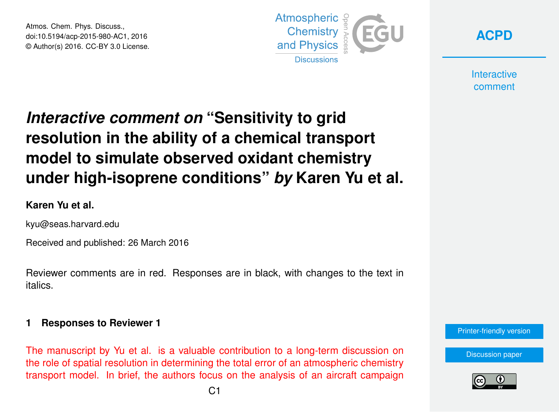Atmos. Chem. Phys. Discuss., doi:10.5194/acp-2015-980-AC1, 2016 © Author(s) 2016. CC-BY 3.0 License.



**[ACPD](http://www.atmos-chem-phys-discuss.net/)**

**Interactive** comment

# *Interactive comment on* **"Sensitivity to grid resolution in the ability of a chemical transport model to simulate observed oxidant chemistry under high-isoprene conditions"** *by* **Karen Yu et al.**

## **Karen Yu et al.**

kyu@seas.harvard.edu

Received and published: 26 March 2016

Reviewer comments are in red. Responses are in black, with changes to the text in italics.

#### **1 Responses to Reviewer 1**

The manuscript by Yu et al. is a valuable contribution to a long-term discussion on the role of spatial resolution in determining the total error of an atmospheric chemistry transport model. In brief, the authors focus on the analysis of an aircraft campaign



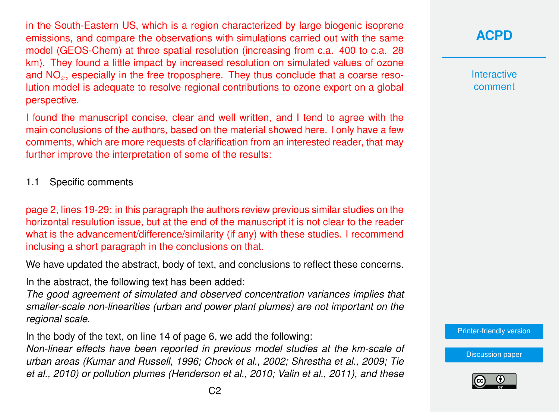in the South-Eastern US, which is a region characterized by large biogenic isoprene emissions, and compare the observations with simulations carried out with the same model (GEOS-Chem) at three spatial resolution (increasing from c.a. 400 to c.a. 28 km). They found a little impact by increased resolution on simulated values of ozone and  $NO<sub>x</sub>$ , especially in the free troposphere. They thus conclude that a coarse resolution model is adequate to resolve regional contributions to ozone export on a global perspective.

I found the manuscript concise, clear and well written, and I tend to agree with the main conclusions of the authors, based on the material showed here. I only have a few comments, which are more requests of clarification from an interested reader, that may further improve the interpretation of some of the results:

1.1 Specific comments

page 2, lines 19-29: in this paragraph the authors review previous similar studies on the horizontal resulution issue, but at the end of the manuscript it is not clear to the reader what is the advancement/difference/similarity (if any) with these studies. I recommend inclusing a short paragraph in the conclusions on that.

We have updated the abstract, body of text, and conclusions to reflect these concerns.

In the abstract, the following text has been added:

*The good agreement of simulated and observed concentration variances implies that smaller-scale non-linearities (urban and power plant plumes) are not important on the regional scale.*

In the body of the text, on line 14 of page 6, we add the following:

*Non-linear effects have been reported in previous model studies at the km-scale of urban areas (Kumar and Russell, 1996; Chock et al., 2002; Shrestha et al., 2009; Tie et al., 2010) or pollution plumes (Henderson et al., 2010; Valin et al., 2011), and these*

**[ACPD](http://www.atmos-chem-phys-discuss.net/)**

**Interactive** comment

[Printer-friendly version](http://www.atmos-chem-phys-discuss.net/acp-2015-980/acp-2015-980-AC1-print.pdf)

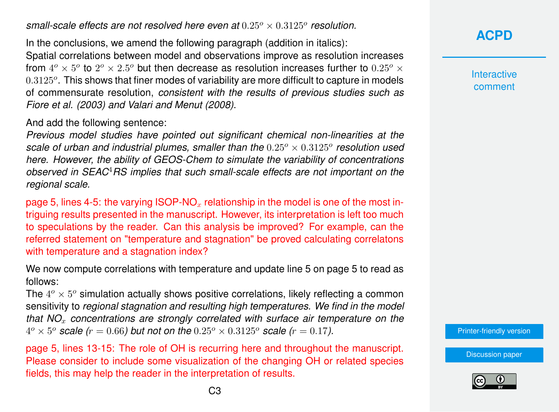small-scale effects are not resolved here even at  $0.25^o \times 0.3125^o$  resolution.

In the conclusions, we amend the following paragraph (addition in italics): Spatial correlations between model and observations improve as resolution increases from  $4^o \times 5^o$  to  $2^o \times 2.5^o$  but then decrease as resolution increases further to  $0.25^o \times$  $0.3125^o$ . This shows that finer modes of variability are more difficult to capture in models of commensurate resolution, *consistent with the results of previous studies such as Fiore et al. (2003) and Valari and Menut (2008)*.

And add the following sentence:

*Previous model studies have pointed out significant chemical non-linearities at the* scale of urban and industrial plumes, smaller than the  $0.25^{\circ} \times 0.3125^{\circ}$  resolution used *here. However, the ability of GEOS-Chem to simulate the variability of concentrations observed in SEAC*4*RS implies that such small-scale effects are not important on the regional scale.*

page 5, lines 4-5: the varying  $ISOP-NO<sub>x</sub>$  relationship in the model is one of the most intriguing results presented in the manuscript. However, its interpretation is left too much to speculations by the reader. Can this analysis be improved? For example, can the referred statement on "temperature and stagnation" be proved calculating correlatons with temperature and a stagnation index?

We now compute correlations with temperature and update line 5 on page 5 to read as follows:

The  $4^o \times 5^o$  simulation actually shows positive correlations, likely reflecting a common sensitivity to *regional stagnation and resulting high temperatures. We find in the model that NO*<sup>x</sup> *concentrations are strongly correlated with surface air temperature on the*  $4^o \times 5^o$  *scale (r = 0.66) but not on the*  $0.25^o \times 0.3125^o$  *scale (r = 0.17).* 

page 5, lines 13-15: The role of OH is recurring here and throughout the manuscript. Please consider to include some visualization of the changing OH or related species fields, this may help the reader in the interpretation of results.

**[ACPD](http://www.atmos-chem-phys-discuss.net/)**

**Interactive** comment

[Printer-friendly version](http://www.atmos-chem-phys-discuss.net/acp-2015-980/acp-2015-980-AC1-print.pdf)

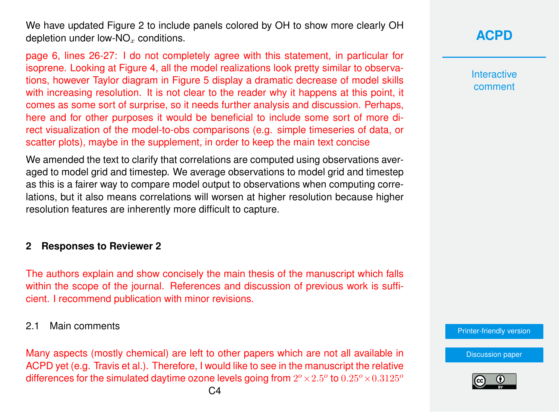We have updated Figure 2 to include panels colored by OH to show more clearly OH depletion under low-NO<sub> $<sub>x</sub>$  conditions.</sub></sub>

page 6, lines 26-27: I do not completely agree with this statement, in particular for isoprene. Looking at Figure 4, all the model realizations look pretty similar to observations, however Taylor diagram in Figure 5 display a dramatic decrease of model skills with increasing resolution. It is not clear to the reader why it happens at this point, it comes as some sort of surprise, so it needs further analysis and discussion. Perhaps, here and for other purposes it would be beneficial to include some sort of more direct visualization of the model-to-obs comparisons (e.g. simple timeseries of data, or scatter plots), maybe in the supplement, in order to keep the main text concise

We amended the text to clarify that correlations are computed using observations averaged to model grid and timestep. We average observations to model grid and timestep as this is a fairer way to compare model output to observations when computing correlations, but it also means correlations will worsen at higher resolution because higher resolution features are inherently more difficult to capture.

## **2 Responses to Reviewer 2**

The authors explain and show concisely the main thesis of the manuscript which falls within the scope of the journal. References and discussion of previous work is sufficient. I recommend publication with minor revisions.

#### 2.1 Main comments

Many aspects (mostly chemical) are left to other papers which are not all available in ACPD yet (e.g. Travis et al.). Therefore, I would like to see in the manuscript the relative differences for the simulated daytime ozone levels going from  $2^o \times 2.5^o$  to  $0.25^o \times 0.3125^o$ 

[Discussion paper](http://www.atmos-chem-phys-discuss.net/acp-2015-980)

[Printer-friendly version](http://www.atmos-chem-phys-discuss.net/acp-2015-980/acp-2015-980-AC1-print.pdf)



**[ACPD](http://www.atmos-chem-phys-discuss.net/)**

**Interactive** comment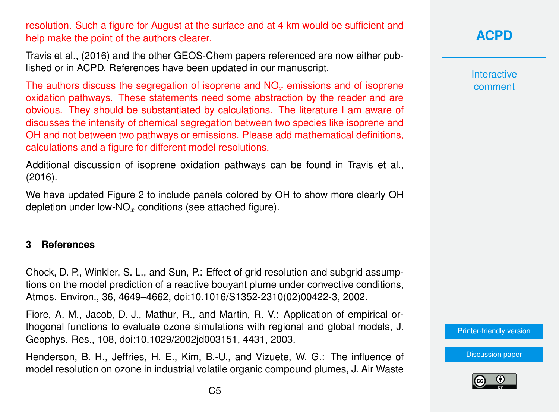resolution. Such a figure for August at the surface and at 4 km would be sufficient and help make the point of the authors clearer.

Travis et al., (2016) and the other GEOS-Chem papers referenced are now either published or in ACPD. References have been updated in our manuscript.

The authors discuss the segregation of isoprene and  $NO<sub>x</sub>$  emissions and of isoprene oxidation pathways. These statements need some abstraction by the reader and are obvious. They should be substantiated by calculations. The literature I am aware of discusses the intensity of chemical segregation between two species like isoprene and OH and not between two pathways or emissions. Please add mathematical definitions, calculations and a figure for different model resolutions.

Additional discussion of isoprene oxidation pathways can be found in Travis et al., (2016).

We have updated Figure 2 to include panels colored by OH to show more clearly OH depletion under low-NO<sub>x</sub> conditions (see attached figure).

#### **3 References**

Chock, D. P., Winkler, S. L., and Sun, P.: Effect of grid resolution and subgrid assumptions on the model prediction of a reactive bouyant plume under convective conditions, Atmos. Environ., 36, 4649–4662, doi:10.1016/S1352-2310(02)00422-3, 2002.

Fiore, A. M., Jacob, D. J., Mathur, R., and Martin, R. V.: Application of empirical orthogonal functions to evaluate ozone simulations with regional and global models, J. Geophys. Res., 108, doi:10.1029/2002jd003151, 4431, 2003.

Henderson, B. H., Jeffries, H. E., Kim, B.-U., and Vizuete, W. G.: The influence of model resolution on ozone in industrial volatile organic compound plumes, J. Air Waste

**[ACPD](http://www.atmos-chem-phys-discuss.net/)**

**Interactive** comment

[Printer-friendly version](http://www.atmos-chem-phys-discuss.net/acp-2015-980/acp-2015-980-AC1-print.pdf)

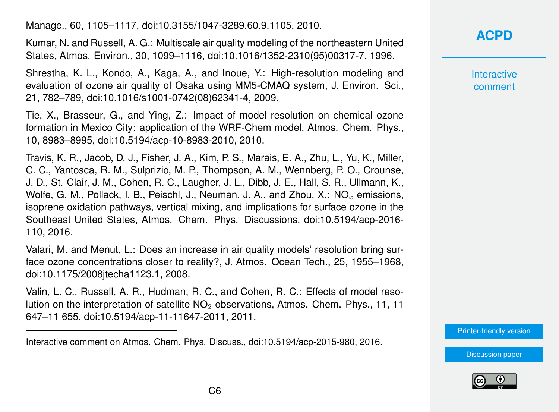Manage., 60, 1105–1117, doi:10.3155/1047-3289.60.9.1105, 2010.

Kumar, N. and Russell, A. G.: Multiscale air quality modeling of the northeastern United States, Atmos. Environ., 30, 1099–1116, doi:10.1016/1352-2310(95)00317-7, 1996.

Shrestha, K. L., Kondo, A., Kaga, A., and Inoue, Y.: High-resolution modeling and evaluation of ozone air quality of Osaka using MM5-CMAQ system, J. Environ. Sci., 21, 782–789, doi:10.1016/s1001-0742(08)62341-4, 2009.

Tie, X., Brasseur, G., and Ying, Z.: Impact of model resolution on chemical ozone formation in Mexico City: application of the WRF-Chem model, Atmos. Chem. Phys., 10, 8983–8995, doi:10.5194/acp-10-8983-2010, 2010.

Travis, K. R., Jacob, D. J., Fisher, J. A., Kim, P. S., Marais, E. A., Zhu, L., Yu, K., Miller, C. C., Yantosca, R. M., Sulprizio, M. P., Thompson, A. M., Wennberg, P. O., Crounse, J. D., St. Clair, J. M., Cohen, R. C., Laugher, J. L., Dibb, J. E., Hall, S. R., Ullmann, K., Wolfe, G. M., Pollack, I. B., Peischl, J., Neuman, J. A., and Zhou, X.:  $NO<sub>x</sub>$  emissions, isoprene oxidation pathways, vertical mixing, and implications for surface ozone in the Southeast United States, Atmos. Chem. Phys. Discussions, doi:10.5194/acp-2016- 110, 2016.

Valari, M. and Menut, L.: Does an increase in air quality models' resolution bring surface ozone concentrations closer to reality?, J. Atmos. Ocean Tech., 25, 1955–1968, doi:10.1175/2008jtecha1123.1, 2008.

Valin, L. C., Russell, A. R., Hudman, R. C., and Cohen, R. C.: Effects of model resolution on the interpretation of satellite  $NO<sub>2</sub>$  observations, Atmos. Chem. Phys., 11, 11 647–11 655, doi:10.5194/acp-11-11647-2011, 2011.

# **[ACPD](http://www.atmos-chem-phys-discuss.net/)**

**Interactive** comment

[Printer-friendly version](http://www.atmos-chem-phys-discuss.net/acp-2015-980/acp-2015-980-AC1-print.pdf)





Interactive comment on Atmos. Chem. Phys. Discuss., doi:10.5194/acp-2015-980, 2016.